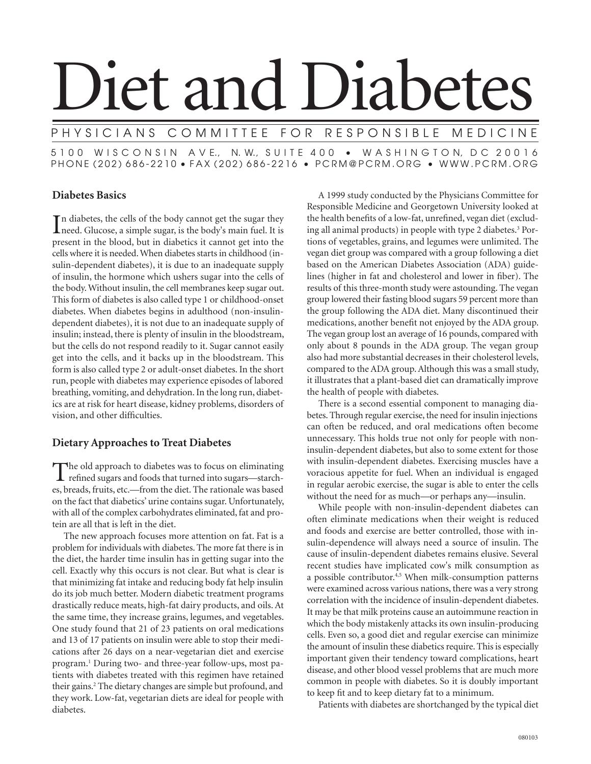# Diet and Diabetes

# COMMITTEE FOR RESPONSIBLE MEDICINE

5 1 0 0 W I S C O N S I N A V E., N. W., S U I T E 4 0 0 • W A S H I N G T O N, D C 2 0 0 1 6 PHONE (202) 686-2210 • FAX (202) 686-2216 • PCRM@PCRM.ORG • WWW.PCRM.ORG

# **Diabetes Basics**

In diabetes, the cells of the body cannot get the sugar they need. Glucose, a simple sugar, is the body's main fuel. It is need. Glucose, a simple sugar, is the body's main fuel. It is present in the blood, but in diabetics it cannot get into the cells where it is needed. When diabetes starts in childhood (insulin-dependent diabetes), it is due to an inadequate supply of insulin, the hormone which ushers sugar into the cells of the body. Without insulin, the cell membranes keep sugar out. This form of diabetes is also called type 1 or childhood-onset diabetes. When diabetes begins in adulthood (non-insulindependent diabetes), it is not due to an inadequate supply of insulin; instead, there is plenty of insulin in the bloodstream, but the cells do not respond readily to it. Sugar cannot easily get into the cells, and it backs up in the bloodstream. This form is also called type 2 or adult-onset diabetes. In the short run, people with diabetes may experience episodes of labored breathing, vomiting, and dehydration. In the long run, diabetics are at risk for heart disease, kidney problems, disorders of vision, and other difficulties.

# **Dietary Approaches to Treat Diabetes**

The old approach to diabetes was to focus on eliminating<br>refined sugars and foods that turned into sugars—starches, breads, fruits, etc.—from the diet. The rationale was based on the fact that diabetics' urine contains sugar. Unfortunately, with all of the complex carbohydrates eliminated, fat and protein are all that is left in the diet.

 The new approach focuses more attention on fat. Fat is a problem for individuals with diabetes. The more fat there is in the diet, the harder time insulin has in getting sugar into the cell. Exactly why this occurs is not clear. But what is clear is that minimizing fat intake and reducing body fat help insulin do its job much better. Modern diabetic treatment programs drastically reduce meats, high-fat dairy products, and oils. At the same time, they increase grains, legumes, and vegetables. One study found that 21 of 23 patients on oral medications and 13 of 17 patients on insulin were able to stop their medications after 26 days on a near-vegetarian diet and exercise program.1 During two- and three-year follow-ups, most patients with diabetes treated with this regimen have retained their gains.<sup>2</sup> The dietary changes are simple but profound, and they work. Low-fat, vegetarian diets are ideal for people with diabetes.

 A 1999 study conducted by the Physicians Committee for Responsible Medicine and Georgetown University looked at the health benefits of a low-fat, unrefined, vegan diet (excluding all animal products) in people with type 2 diabetes.<sup>3</sup> Portions of vegetables, grains, and legumes were unlimited. The vegan diet group was compared with a group following a diet based on the American Diabetes Association (ADA) guidelines (higher in fat and cholesterol and lower in fiber). The results of this three-month study were astounding. The vegan group lowered their fasting blood sugars 59 percent more than the group following the ADA diet. Many discontinued their medications, another benefit not enjoyed by the ADA group. The vegan group lost an average of 16 pounds, compared with only about 8 pounds in the ADA group. The vegan group also had more substantial decreases in their cholesterol levels, compared to the ADA group. Although this was a small study, it illustrates that a plant-based diet can dramatically improve the health of people with diabetes.

 There is a second essential component to managing diabetes. Through regular exercise, the need for insulin injections can often be reduced, and oral medications often become unnecessary. This holds true not only for people with noninsulin-dependent diabetes, but also to some extent for those with insulin-dependent diabetes. Exercising muscles have a voracious appetite for fuel. When an individual is engaged in regular aerobic exercise, the sugar is able to enter the cells without the need for as much—or perhaps any—insulin.

 While people with non-insulin-dependent diabetes can often eliminate medications when their weight is reduced and foods and exercise are better controlled, those with insulin-dependence will always need a source of insulin. The cause of insulin-dependent diabetes remains elusive. Several recent studies have implicated cow's milk consumption as a possible contributor.<sup>4,5</sup> When milk-consumption patterns were examined across various nations, there was a very strong correlation with the incidence of insulin-dependent diabetes. It may be that milk proteins cause an autoimmune reaction in which the body mistakenly attacks its own insulin-producing cells. Even so, a good diet and regular exercise can minimize the amount of insulin these diabetics require. This is especially important given their tendency toward complications, heart disease, and other blood vessel problems that are much more common in people with diabetes. So it is doubly important to keep fit and to keep dietary fat to a minimum.

Patients with diabetes are shortchanged by the typical diet